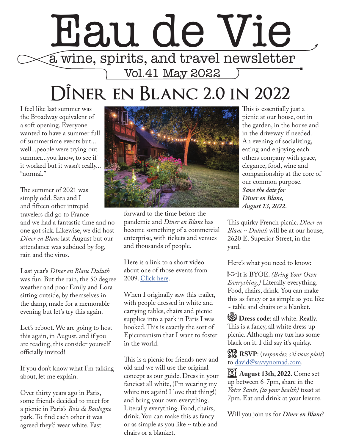## Eau de Vie a wine, spirits, and travel newsletter Vol.41 May 2022

## **DÎner en Blanc 2.0 in 2022**

I feel like last summer was the Broadway equivalent of a soft opening. Everyone wanted to have a summer full of summertime events but... well...people were trying out summer...you know, to see if it worked but it wasn't really... "normal."

The summer of 2021 was simply odd. Sara and I and fifteen other intrepid travelers did go to France and we had a fantastic time and no one got sick. Likewise, we did host *Dîner en Blanc* last August but our attendance was subdued by fog, rain and the virus.

Last year's *Dîner en Blanc Duluth* was fun. But the rain, the 50 degree weather and poor Emily and Lora sitting outside, by themselves in the damp, made for a memorable evening but let's try this again.

Let's reboot. We are going to host this again, in August, and if you are reading, this consider yourself officially invited!

If you don't know what I'm talking about, let me explain.

Over thirty years ago in Paris, some friends decided to meet for a picnic in Paris's *Bois de Boulogne* park. To find each other it was agreed they'd wear white. Fast



forward to the time before the pandemic and *Dîner en Blanc* has become something of a commercial enterprise, with tickets and venues and thousands of people.

Here is a link to a short video about one of those events from 2009. [Click here](https://vimeo.com/59918869).

When I originally saw this trailer, with people dressed in white and carrying tables, chairs and picnic supplies into a park in Paris I was hooked. This is exactly the sort of Epicureanism that I want to foster in the world.

This is a picnic for friends new and old and we will use the original concept as our guide. Dress in your fanciest all white, (I'm wearing my white tux again! I love that thing!) and bring your own everything. Literally everything. Food, chairs, drink. You can make this as fancy or as simple as you like ~ table and chairs or a blanket.

This is essentially just a picnic at our house, out in the garden, in the house and in the driveway if needed. An evening of socializing, eating and enjoying each others company with grace, elegance, food, wine and companionship at the core of our common purpose. *Save the date for Dîner en Blanc, August 13, 2022.*

This quirky French picnic. *Dîner en Blanc ~ Duluth* will be at our house, 2620 E. Superior Street, in the yard.

Here's what you need to know:

**p**It is BYOE. *(Bring Your Own Everything.)* Literally everything. Food, chairs, drink. You can make this as fancy or as simple as you like ~ table and chairs or a blanket.

**1 Dress code:** all white. Really. This is a fancy, all white dress up picnic. Although my tux has some black on it. I did say it's quirky.

V **RSVP**: (*respondez s'il vous plait*) to [david@savvynomad.com](mailto:david%40savvynomad.com?subject=).

**2022**. Come set up between 6-7pm, share in the *Votre Sante, (to your health)* toast at 7pm. Eat and drink at your leisure.

Will you join us for *Dîner en Blanc*?